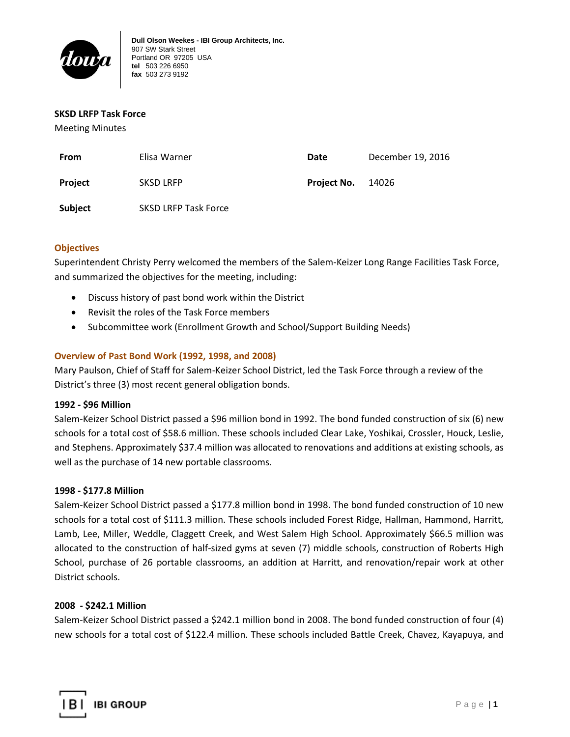

## **SKSD LRFP Task Force**

Meeting Minutes

| From           | Elisa Warner         | Date               | December 19, 2016 |
|----------------|----------------------|--------------------|-------------------|
| <b>Project</b> | <b>SKSD LRFP</b>     | <b>Project No.</b> | 14026             |
| <b>Subject</b> | SKSD LRFP Task Force |                    |                   |

## **Objectives**

Superintendent Christy Perry welcomed the members of the Salem-Keizer Long Range Facilities Task Force, and summarized the objectives for the meeting, including:

- Discuss history of past bond work within the District
- Revisit the roles of the Task Force members
- Subcommittee work (Enrollment Growth and School/Support Building Needs)

## **Overview of Past Bond Work (1992, 1998, and 2008)**

Mary Paulson, Chief of Staff for Salem-Keizer School District, led the Task Force through a review of the District's three (3) most recent general obligation bonds.

## **1992 - \$96 Million**

Salem-Keizer School District passed a \$96 million bond in 1992. The bond funded construction of six (6) new schools for a total cost of \$58.6 million. These schools included Clear Lake, Yoshikai, Crossler, Houck, Leslie, and Stephens. Approximately \$37.4 million was allocated to renovations and additions at existing schools, as well as the purchase of 14 new portable classrooms.

## **1998 - \$177.8 Million**

Salem-Keizer School District passed a \$177.8 million bond in 1998. The bond funded construction of 10 new schools for a total cost of \$111.3 million. These schools included Forest Ridge, Hallman, Hammond, Harritt, Lamb, Lee, Miller, Weddle, Claggett Creek, and West Salem High School. Approximately \$66.5 million was allocated to the construction of half-sized gyms at seven (7) middle schools, construction of Roberts High School, purchase of 26 portable classrooms, an addition at Harritt, and renovation/repair work at other District schools.

## **2008 - \$242.1 Million**

Salem-Keizer School District passed a \$242.1 million bond in 2008. The bond funded construction of four (4) new schools for a total cost of \$122.4 million. These schools included Battle Creek, Chavez, Kayapuya, and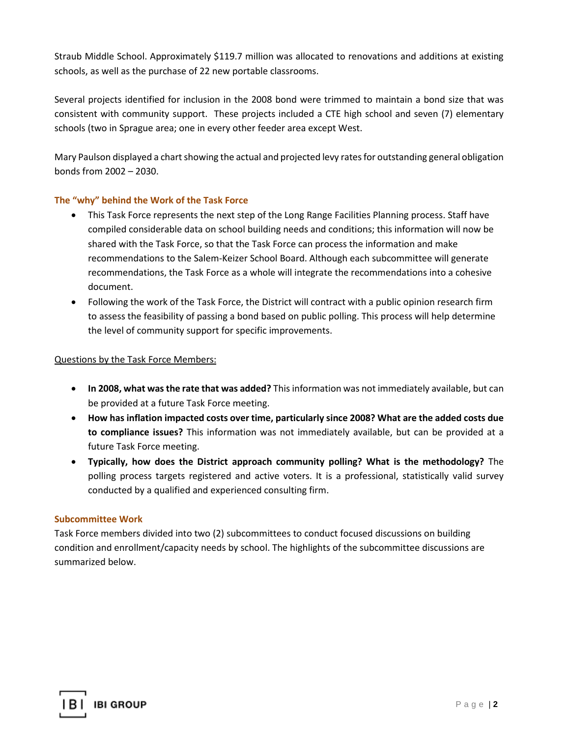Straub Middle School. Approximately \$119.7 million was allocated to renovations and additions at existing schools, as well as the purchase of 22 new portable classrooms.

Several projects identified for inclusion in the 2008 bond were trimmed to maintain a bond size that was consistent with community support. These projects included a CTE high school and seven (7) elementary schools (two in Sprague area; one in every other feeder area except West.

Mary Paulson displayed a chart showing the actual and projected levy rates for outstanding general obligation bonds from 2002 – 2030.

## **The "why" behind the Work of the Task Force**

- This Task Force represents the next step of the Long Range Facilities Planning process. Staff have compiled considerable data on school building needs and conditions; this information will now be shared with the Task Force, so that the Task Force can process the information and make recommendations to the Salem-Keizer School Board. Although each subcommittee will generate recommendations, the Task Force as a whole will integrate the recommendations into a cohesive document.
- Following the work of the Task Force, the District will contract with a public opinion research firm to assess the feasibility of passing a bond based on public polling. This process will help determine the level of community support for specific improvements.

## Questions by the Task Force Members:

- **In 2008, what was the rate that was added?** This information was not immediately available, but can be provided at a future Task Force meeting.
- **How has inflation impacted costs over time, particularly since 2008? What are the added costs due to compliance issues?** This information was not immediately available, but can be provided at a future Task Force meeting.
- **Typically, how does the District approach community polling? What is the methodology?** The polling process targets registered and active voters. It is a professional, statistically valid survey conducted by a qualified and experienced consulting firm.

## **Subcommittee Work**

Task Force members divided into two (2) subcommittees to conduct focused discussions on building condition and enrollment/capacity needs by school. The highlights of the subcommittee discussions are summarized below.

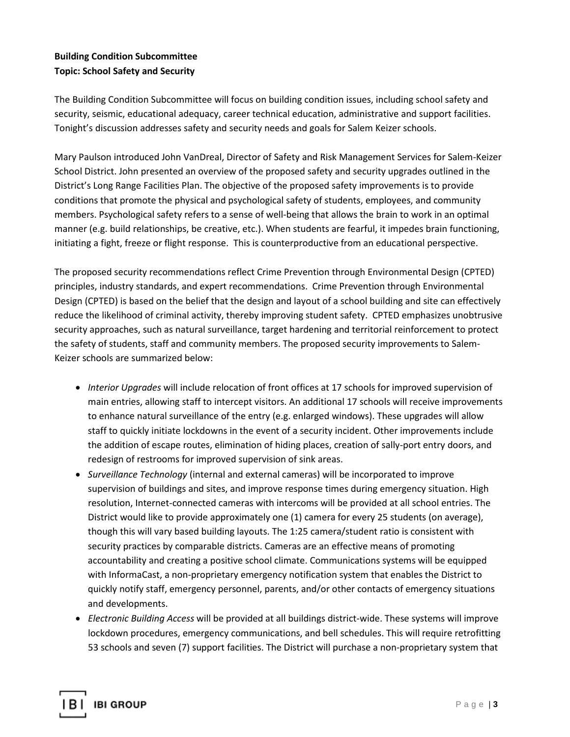# **Building Condition Subcommittee Topic: School Safety and Security**

The Building Condition Subcommittee will focus on building condition issues, including school safety and security, seismic, educational adequacy, career technical education, administrative and support facilities. Tonight's discussion addresses safety and security needs and goals for Salem Keizer schools.

Mary Paulson introduced John VanDreal, Director of Safety and Risk Management Services for Salem-Keizer School District. John presented an overview of the proposed safety and security upgrades outlined in the District's Long Range Facilities Plan. The objective of the proposed safety improvements is to provide conditions that promote the physical and psychological safety of students, employees, and community members. Psychological safety refers to a sense of well-being that allows the brain to work in an optimal manner (e.g. build relationships, be creative, etc.). When students are fearful, it impedes brain functioning, initiating a fight, freeze or flight response. This is counterproductive from an educational perspective.

The proposed security recommendations reflect Crime Prevention through Environmental Design (CPTED) principles, industry standards, and expert recommendations. Crime Prevention through Environmental Design (CPTED) is based on the belief that the design and layout of a school building and site can effectively reduce the likelihood of criminal activity, thereby improving student safety. CPTED emphasizes unobtrusive security approaches, such as natural surveillance, target hardening and territorial reinforcement to protect the safety of students, staff and community members. The proposed security improvements to Salem-Keizer schools are summarized below:

- *Interior Upgrades* will include relocation of front offices at 17 schools for improved supervision of main entries, allowing staff to intercept visitors. An additional 17 schools will receive improvements to enhance natural surveillance of the entry (e.g. enlarged windows). These upgrades will allow staff to quickly initiate lockdowns in the event of a security incident. Other improvements include the addition of escape routes, elimination of hiding places, creation of sally-port entry doors, and redesign of restrooms for improved supervision of sink areas.
- *Surveillance Technology* (internal and external cameras) will be incorporated to improve supervision of buildings and sites, and improve response times during emergency situation. High resolution, Internet-connected cameras with intercoms will be provided at all school entries. The District would like to provide approximately one (1) camera for every 25 students (on average), though this will vary based building layouts. The 1:25 camera/student ratio is consistent with security practices by comparable districts. Cameras are an effective means of promoting accountability and creating a positive school climate. Communications systems will be equipped with InformaCast, a non-proprietary emergency notification system that enables the District to quickly notify staff, emergency personnel, parents, and/or other contacts of emergency situations and developments.
- *Electronic Building Access* will be provided at all buildings district-wide. These systems will improve lockdown procedures, emergency communications, and bell schedules. This will require retrofitting 53 schools and seven (7) support facilities. The District will purchase a non-proprietary system that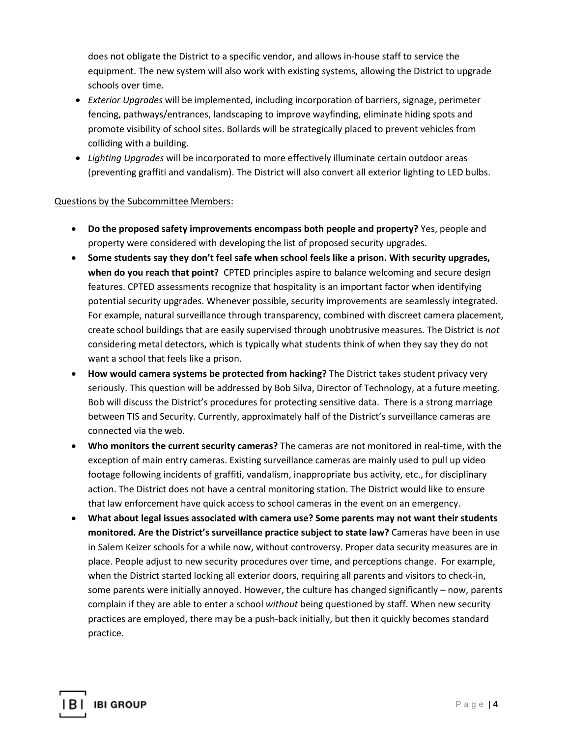does not obligate the District to a specific vendor, and allows in-house staff to service the equipment. The new system will also work with existing systems, allowing the District to upgrade schools over time.

- *Exterior Upgrades* will be implemented, including incorporation of barriers, signage, perimeter fencing, pathways/entrances, landscaping to improve wayfinding, eliminate hiding spots and promote visibility of school sites. Bollards will be strategically placed to prevent vehicles from colliding with a building.
- *Lighting Upgrades* will be incorporated to more effectively illuminate certain outdoor areas (preventing graffiti and vandalism). The District will also convert all exterior lighting to LED bulbs.

## Questions by the Subcommittee Members:

- **Do the proposed safety improvements encompass both people and property?** Yes, people and property were considered with developing the list of proposed security upgrades.
- **Some students say they don't feel safe when school feels like a prison. With security upgrades, when do you reach that point?** CPTED principles aspire to balance welcoming and secure design features. CPTED assessments recognize that hospitality is an important factor when identifying potential security upgrades. Whenever possible, security improvements are seamlessly integrated. For example, natural surveillance through transparency, combined with discreet camera placement, create school buildings that are easily supervised through unobtrusive measures. The District is *not* considering metal detectors, which is typically what students think of when they say they do not want a school that feels like a prison.
- **How would camera systems be protected from hacking?** The District takes student privacy very seriously. This question will be addressed by Bob Silva, Director of Technology, at a future meeting. Bob will discuss the District's procedures for protecting sensitive data. There is a strong marriage between TIS and Security. Currently, approximately half of the District's surveillance cameras are connected via the web.
- **Who monitors the current security cameras?** The cameras are not monitored in real-time, with the exception of main entry cameras. Existing surveillance cameras are mainly used to pull up video footage following incidents of graffiti, vandalism, inappropriate bus activity, etc., for disciplinary action. The District does not have a central monitoring station. The District would like to ensure that law enforcement have quick access to school cameras in the event on an emergency.
- **What about legal issues associated with camera use? Some parents may not want their students monitored. Are the District's surveillance practice subject to state law?** Cameras have been in use in Salem Keizer schools for a while now, without controversy. Proper data security measures are in place. People adjust to new security procedures over time, and perceptions change. For example, when the District started locking all exterior doors, requiring all parents and visitors to check-in, some parents were initially annoyed. However, the culture has changed significantly – now, parents complain if they are able to enter a school *without* being questioned by staff. When new security practices are employed, there may be a push-back initially, but then it quickly becomes standard practice.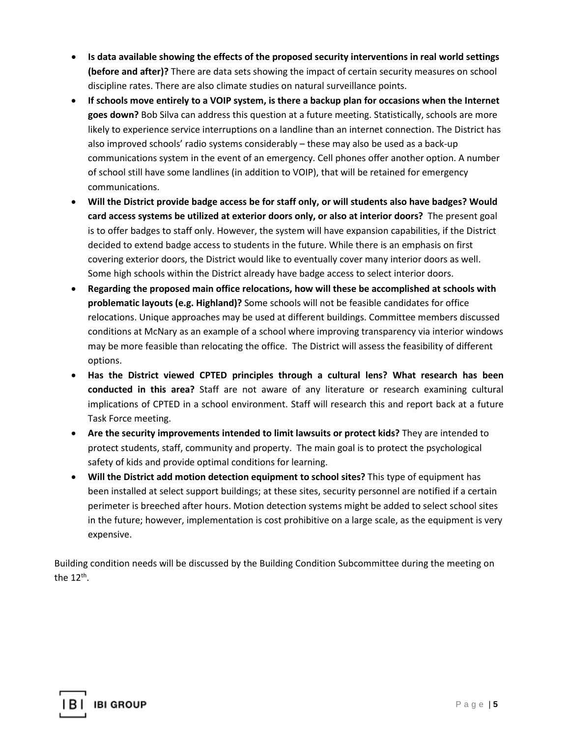- **Is data available showing the effects of the proposed security interventions in real world settings (before and after)?** There are data sets showing the impact of certain security measures on school discipline rates. There are also climate studies on natural surveillance points.
- **If schools move entirely to a VOIP system, is there a backup plan for occasions when the Internet goes down?** Bob Silva can address this question at a future meeting. Statistically, schools are more likely to experience service interruptions on a landline than an internet connection. The District has also improved schools' radio systems considerably – these may also be used as a back-up communications system in the event of an emergency. Cell phones offer another option. A number of school still have some landlines (in addition to VOIP), that will be retained for emergency communications.
- **Will the District provide badge access be for staff only, or will students also have badges? Would card access systems be utilized at exterior doors only, or also at interior doors?** The present goal is to offer badges to staff only. However, the system will have expansion capabilities, if the District decided to extend badge access to students in the future. While there is an emphasis on first covering exterior doors, the District would like to eventually cover many interior doors as well. Some high schools within the District already have badge access to select interior doors.
- **Regarding the proposed main office relocations, how will these be accomplished at schools with problematic layouts (e.g. Highland)?** Some schools will not be feasible candidates for office relocations. Unique approaches may be used at different buildings. Committee members discussed conditions at McNary as an example of a school where improving transparency via interior windows may be more feasible than relocating the office. The District will assess the feasibility of different options.
- **Has the District viewed CPTED principles through a cultural lens? What research has been conducted in this area?** Staff are not aware of any literature or research examining cultural implications of CPTED in a school environment. Staff will research this and report back at a future Task Force meeting.
- **Are the security improvements intended to limit lawsuits or protect kids?** They are intended to protect students, staff, community and property. The main goal is to protect the psychological safety of kids and provide optimal conditions for learning.
- **Will the District add motion detection equipment to school sites?** This type of equipment has been installed at select support buildings; at these sites, security personnel are notified if a certain perimeter is breeched after hours. Motion detection systems might be added to select school sites in the future; however, implementation is cost prohibitive on a large scale, as the equipment is very expensive.

Building condition needs will be discussed by the Building Condition Subcommittee during the meeting on the  $12^{th}$ .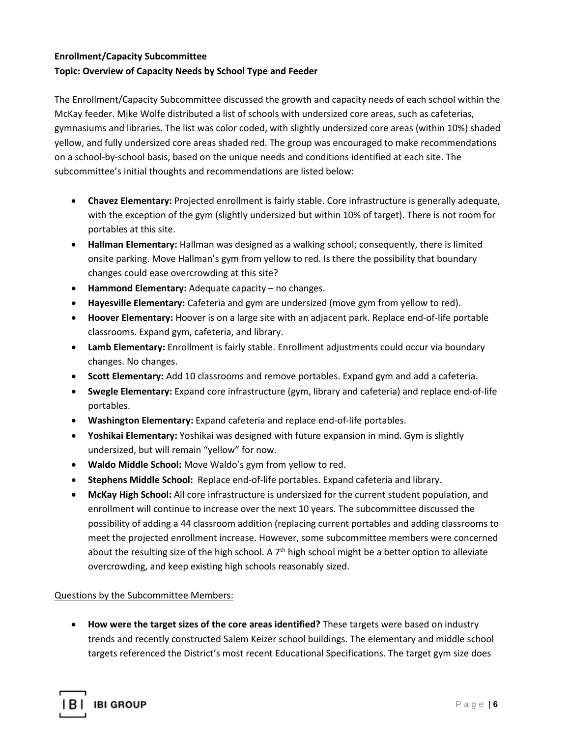# **Enrollment/Capacity Subcommittee Topic: Overview of Capacity Needs by School Type and Feeder**

The Enrollment/Capacity Subcommittee discussed the growth and capacity needs of each school within the McKay feeder. Mike Wolfe distributed a list of schools with undersized core areas, such as cafeterias, gymnasiums and libraries. The list was color coded, with slightly undersized core areas (within 10%) shaded yellow, and fully undersized core areas shaded red. The group was encouraged to make recommendations on a school-by-school basis, based on the unique needs and conditions identified at each site. The subcommittee's initial thoughts and recommendations are listed below:

- **Chavez Elementary:** Projected enrollment is fairly stable. Core infrastructure is generally adequate, with the exception of the gym (slightly undersized but within 10% of target). There is not room for portables at this site.
- **Hallman Elementary:** Hallman was designed as a walking school; consequently, there is limited onsite parking. Move Hallman's gym from yellow to red. Is there the possibility that boundary changes could ease overcrowding at this site?
- **Hammond Elementary:** Adequate capacity no changes.
- **Hayesville Elementary:** Cafeteria and gym are undersized (move gym from yellow to red).
- **Hoover Elementary:** Hoover is on a large site with an adjacent park. Replace end-of-life portable classrooms. Expand gym, cafeteria, and library.
- **Lamb Elementary:** Enrollment is fairly stable. Enrollment adjustments could occur via boundary changes. No changes.
- **Scott Elementary:** Add 10 classrooms and remove portables. Expand gym and add a cafeteria.
- **Swegle Elementary:** Expand core infrastructure (gym, library and cafeteria) and replace end-of-life portables.
- **Washington Elementary:** Expand cafeteria and replace end-of-life portables.
- **Yoshikai Elementary:** Yoshikai was designed with future expansion in mind. Gym is slightly undersized, but will remain "yellow" for now.
- **Waldo Middle School:** Move Waldo's gym from yellow to red.
- **Stephens Middle School:** Replace end-of-life portables. Expand cafeteria and library.
- **McKay High School:** All core infrastructure is undersized for the current student population, and enrollment will continue to increase over the next 10 years. The subcommittee discussed the possibility of adding a 44 classroom addition (replacing current portables and adding classrooms to meet the projected enrollment increase. However, some subcommittee members were concerned about the resulting size of the high school. A  $7<sup>th</sup>$  high school might be a better option to alleviate overcrowding, and keep existing high schools reasonably sized.

## Questions by the Subcommittee Members:

• **How were the target sizes of the core areas identified?** These targets were based on industry trends and recently constructed Salem Keizer school buildings. The elementary and middle school targets referenced the District's most recent Educational Specifications. The target gym size does